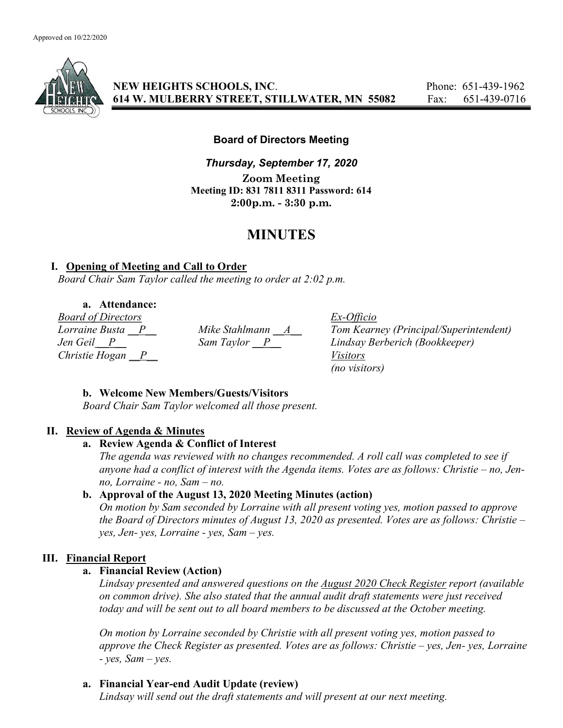

NEW HEIGHTS SCHOOLS, INC. Phone: 651-439-1962 614 W. MULBERRY STREET, STILLWATER, MN 55082 Fax: 651-439-0716

Board of Directors Meeting

Thursday, September 17, 2020 Zoom Meeting Meeting ID: 831 7811 8311 Password: 614 2:00p.m. - 3:30 p.m.

# MINUTES

#### I. Opening of Meeting and Call to Order

Board Chair Sam Taylor called the meeting to order at 2:02 p.m.

a. Attendance:

Board of Directors Ex-Officio Christie Hogan  $\overline{P}$  Visitors

Mike Stahlmann  $\underline{A}$  Tom Kearney (Principal/Superintendent)<br>Sam Taylor  $\underline{P}$  Lindsay Berberich (Bookkeeper) Jen Geil \_\_P\_\_ Sam Taylor \_\_P\_\_ Lindsay Berberich (Bookkeeper) (no visitors)

## b. Welcome New Members/Guests/Visitors

Board Chair Sam Taylor welcomed all those present.

## II. Review of Agenda & Minutes

#### a. Review Agenda & Conflict of Interest

The agenda was reviewed with no changes recommended. A roll call was completed to see if anyone had a conflict of interest with the Agenda items. Votes are as follows: Christie – no, Jenno, Lorraine - no, Sam – no.

## b. Approval of the August 13, 2020 Meeting Minutes (action)

On motion by Sam seconded by Lorraine with all present voting yes, motion passed to approve the Board of Directors minutes of August 13, 2020 as presented. Votes are as follows: Christie – yes, Jen- yes, Lorraine - yes, Sam – yes.

## III. Financial Report

## a. Financial Review (Action)

Lindsay presented and answered questions on the August 2020 Check Register report (available on common drive). She also stated that the annual audit draft statements were just received today and will be sent out to all board members to be discussed at the October meeting.

On motion by Lorraine seconded by Christie with all present voting yes, motion passed to approve the Check Register as presented. Votes are as follows: Christie – yes, Jen- yes, Lorraine  $- yes$ , Sam  $- yes$ .

## a. Financial Year-end Audit Update (review)

Lindsay will send out the draft statements and will present at our next meeting.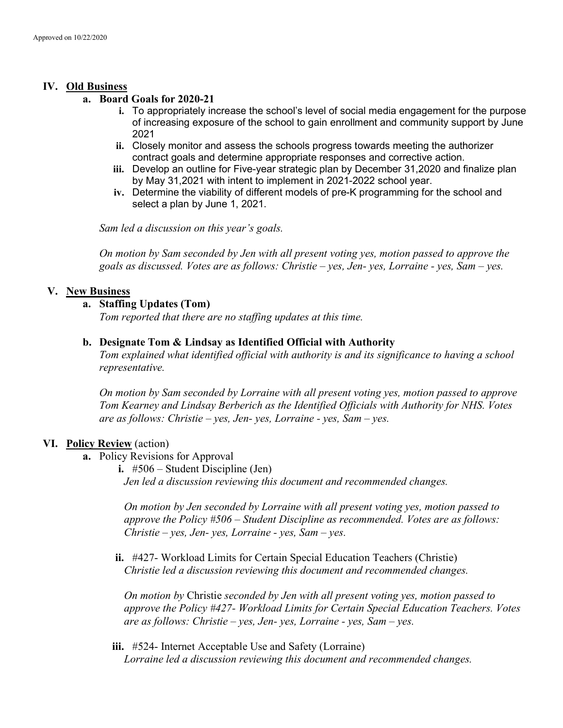## IV. Old Business

#### a. Board Goals for 2020-21

- i. To appropriately increase the school's level of social media engagement for the purpose of increasing exposure of the school to gain enrollment and community support by June 2021
- ii. Closely monitor and assess the schools progress towards meeting the authorizer contract goals and determine appropriate responses and corrective action.
- iii. Develop an outline for Five-year strategic plan by December 31,2020 and finalize plan by May 31,2021 with intent to implement in 2021-2022 school year.
- iv. Determine the viability of different models of pre-K programming for the school and select a plan by June 1, 2021.

Sam led a discussion on this year's goals.

On motion by Sam seconded by Jen with all present voting yes, motion passed to approve the goals as discussed. Votes are as follows: Christie – yes, Jen- yes, Lorraine - yes, Sam – yes.

## V. New Business

#### a. Staffing Updates (Tom)

Tom reported that there are no staffing updates at this time.

#### b. Designate Tom & Lindsay as Identified Official with Authority

Tom explained what identified official with authority is and its significance to having a school representative.

On motion by Sam seconded by Lorraine with all present voting yes, motion passed to approve Tom Kearney and Lindsay Berberich as the Identified Officials with Authority for NHS. Votes are as follows: Christie – yes, Jen- yes, Lorraine - yes, Sam – yes.

## VI. Policy Review (action)

- a. Policy Revisions for Approval
	- i. #506 Student Discipline (Jen)

Jen led a discussion reviewing this document and recommended changes.

On motion by Jen seconded by Lorraine with all present voting yes, motion passed to approve the Policy #506 – Student Discipline as recommended. Votes are as follows: Christie – yes, Jen- yes, Lorraine - yes, Sam – yes.

ii. #427- Workload Limits for Certain Special Education Teachers (Christie) Christie led a discussion reviewing this document and recommended changes.

On motion by Christie seconded by Jen with all present voting yes, motion passed to approve the Policy #427- Workload Limits for Certain Special Education Teachers. Votes are as follows: Christie – yes, Jen- yes, Lorraine - yes, Sam – yes.

iii. #524- Internet Acceptable Use and Safety (Lorraine) Lorraine led a discussion reviewing this document and recommended changes.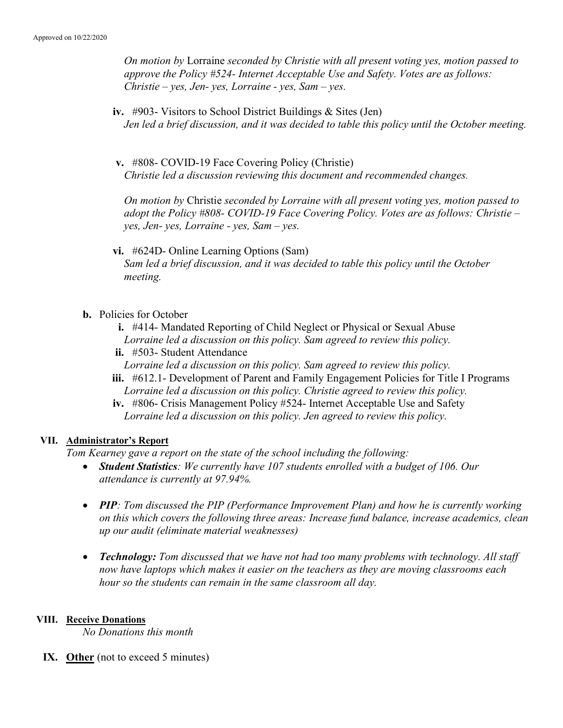On motion by Lorraine seconded by Christie with all present voting yes, motion passed to approve the Policy #524- Internet Acceptable Use and Safety. Votes are as follows: Christie – yes, Jen- yes, Lorraine - yes, Sam – yes.

- iv. #903- Visitors to School District Buildings & Sites (Jen) Jen led a brief discussion, and it was decided to table this policy until the October meeting.
- v. #808- COVID-19 Face Covering Policy (Christie) Christie led a discussion reviewing this document and recommended changes.

On motion by Christie seconded by Lorraine with all present voting yes, motion passed to adopt the Policy #808- COVID-19 Face Covering Policy. Votes are as follows: Christie – yes, Jen- yes, Lorraine - yes, Sam – yes.

vi. #624D- Online Learning Options (Sam) Sam led a brief discussion, and it was decided to table this policy until the October meeting.

# b. Policies for October

- i. #414- Mandated Reporting of Child Neglect or Physical or Sexual Abuse Lorraine led a discussion on this policy. Sam agreed to review this policy.
- ii. #503- Student Attendance
- Lorraine led a discussion on this policy. Sam agreed to review this policy.
- iii. #612.1- Development of Parent and Family Engagement Policies for Title I Programs Lorraine led a discussion on this policy. Christie agreed to review this policy.
- iv. #806- Crisis Management Policy #524- Internet Acceptable Use and Safety Lorraine led a discussion on this policy. Jen agreed to review this policy.

## VII. Administrator's Report

Tom Kearney gave a report on the state of the school including the following:

- Student Statistics: We currently have 107 students enrolled with a budget of 106. Our attendance is currently at 97.94%.
- PIP: Tom discussed the PIP (Performance Improvement Plan) and how he is currently working on this which covers the following three areas: Increase fund balance, increase academics, clean up our audit (eliminate material weaknesses)
- Technology: Tom discussed that we have not had too many problems with technology. All staff now have laptops which makes it easier on the teachers as they are moving classrooms each hour so the students can remain in the same classroom all day.

## VIII. Receive Donations

No Donations this month

IX. Other (not to exceed 5 minutes)